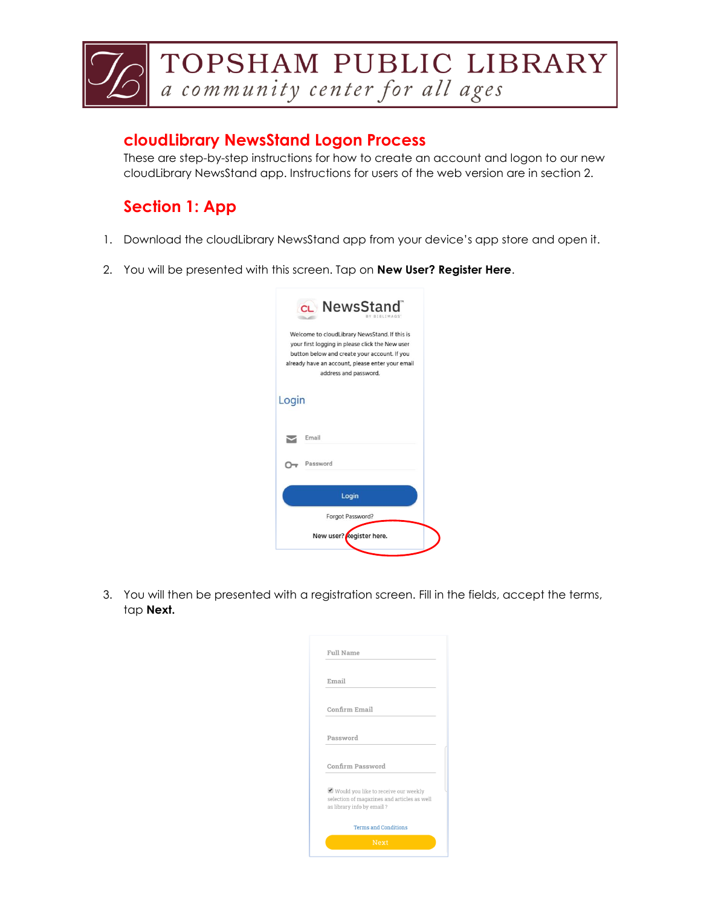

## **cloudLibrary NewsStand Logon Process**

These are step-by-step instructions for how to create an account and logon to our new cloudLibrary NewsStand app. Instructions for users of the web version are in section 2.

## **Section 1: App**

- 1. Download the cloudLibrary NewsStand app from your device's app store and open it.
- 2. You will be presented with this screen. Tap on **New User? Register Here**.

| CL NewsStand<br>IBLIMAGS                                                                                                                                                                                                      |  |
|-------------------------------------------------------------------------------------------------------------------------------------------------------------------------------------------------------------------------------|--|
| Welcome to cloudLibrary NewsStand. If this is<br>your first logging in please click the New user<br>button below and create your account. If you<br>already have an account, please enter your email<br>address and password. |  |
| Login                                                                                                                                                                                                                         |  |
| Email                                                                                                                                                                                                                         |  |
| Password                                                                                                                                                                                                                      |  |
| Login                                                                                                                                                                                                                         |  |
| Forgot Password?                                                                                                                                                                                                              |  |
| New user? Register here.                                                                                                                                                                                                      |  |

3. You will then be presented with a registration screen. Fill in the fields, accept the terms, tap **Next.**

| <b>Full Name</b> |                                                                                                                     |
|------------------|---------------------------------------------------------------------------------------------------------------------|
| Email            |                                                                                                                     |
|                  | Confirm Email                                                                                                       |
| Password         |                                                                                                                     |
|                  | Confirm Password                                                                                                    |
|                  | ■ Would you like to receive our weekly<br>selection of magazines and articles as well<br>as library info by email ? |
|                  | <b>Terms and Conditions</b>                                                                                         |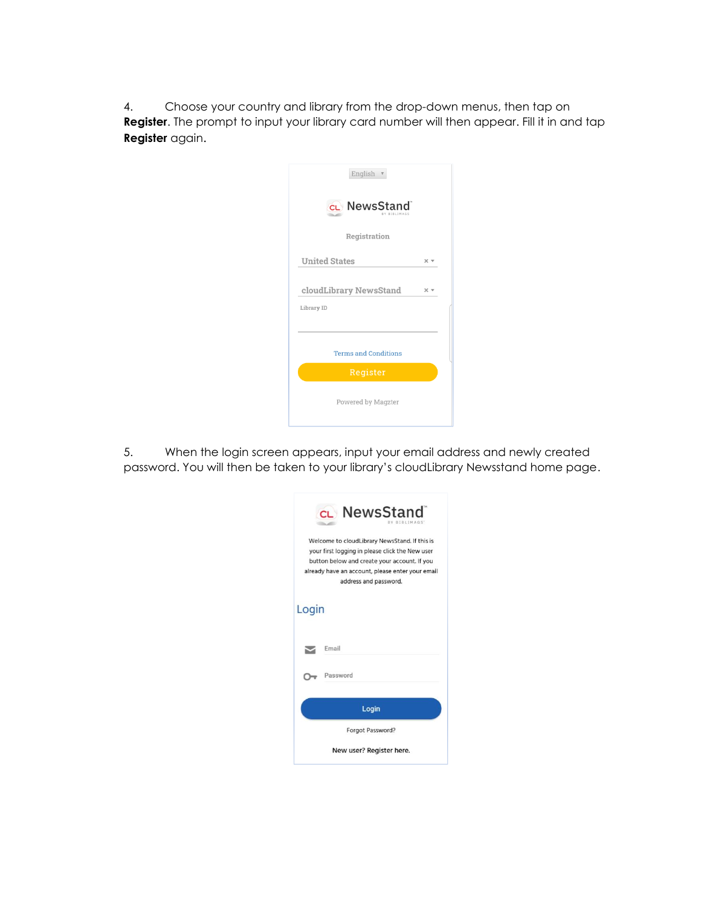4. Choose your country and library from the drop-down menus, then tap on **Register**. The prompt to input your library card number will then appear. Fill it in and tap **Register** again.

| English v                               |                   |
|-----------------------------------------|-------------------|
| cL NewsStand                            |                   |
| Registration                            |                   |
| <b>United States</b>                    | $\times$ $\times$ |
| cloudLibrary NewsStand                  | $\times$ $\times$ |
| Library ID                              |                   |
|                                         |                   |
| <b>Terms and Conditions</b><br>Register |                   |
|                                         |                   |
| Powered by Magzter                      |                   |
|                                         |                   |

5. When the login screen appears, input your email address and newly created password. You will then be taken to your library's cloudLibrary Newsstand home page.

|       | CL NewsStand<br><b>RIRLIMAGS</b>                                                                                                                                                                                              |
|-------|-------------------------------------------------------------------------------------------------------------------------------------------------------------------------------------------------------------------------------|
|       | Welcome to cloudLibrary NewsStand. If this is<br>your first logging in please click the New user<br>button below and create your account. If you<br>already have an account, please enter your email<br>address and password. |
| Login |                                                                                                                                                                                                                               |
|       | Email                                                                                                                                                                                                                         |
|       | Password                                                                                                                                                                                                                      |
|       | Login                                                                                                                                                                                                                         |
|       | Forgot Password?                                                                                                                                                                                                              |
|       | New user? Register here.                                                                                                                                                                                                      |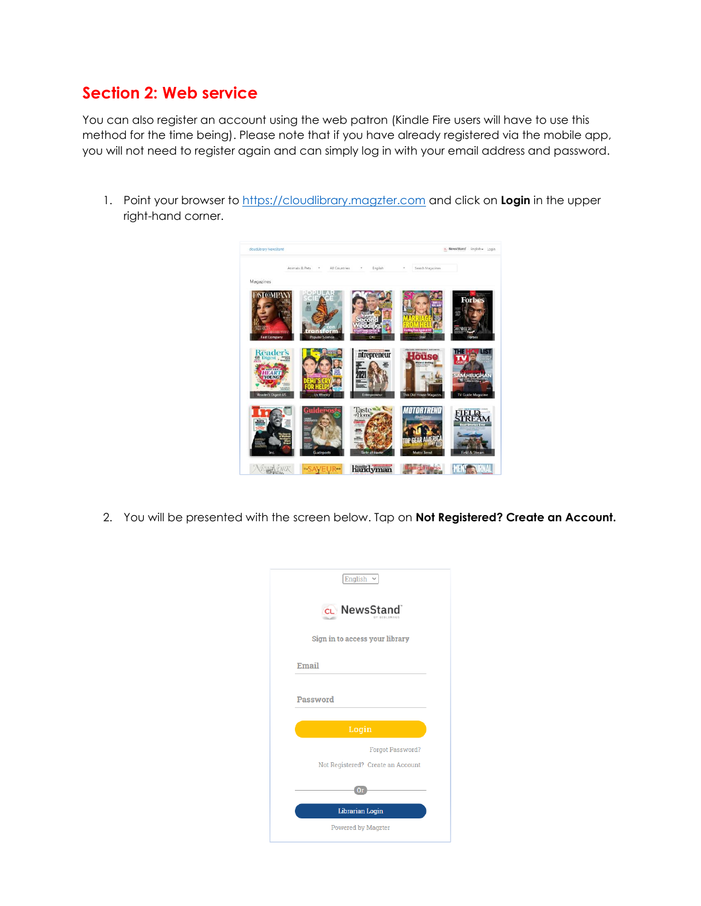## **Section 2: Web service**

You can also register an account using the web patron (Kindle Fire users will have to use this method for the time being). Please note that if you have already registered via the mobile app, you will not need to register again and can simply log in with your email address and password.

1. Point your browser to [https://cloudlibrary.magzter.com](https://cloudlibrary.magzter.com/) and click on **Login** in the upper right-hand corner.



2. You will be presented with the screen below. Tap on **Not Registered? Create an Account.**

| English $\sim$                                               |
|--------------------------------------------------------------|
| CL NewsStand                                                 |
| Sign in to access your library                               |
| Email                                                        |
| Password                                                     |
| Login                                                        |
| <b>Forgot Password?</b><br>Not Registered? Create an Account |
| 0r                                                           |
| <b>Librarian Login</b>                                       |
| <b>Powered by Magzter</b>                                    |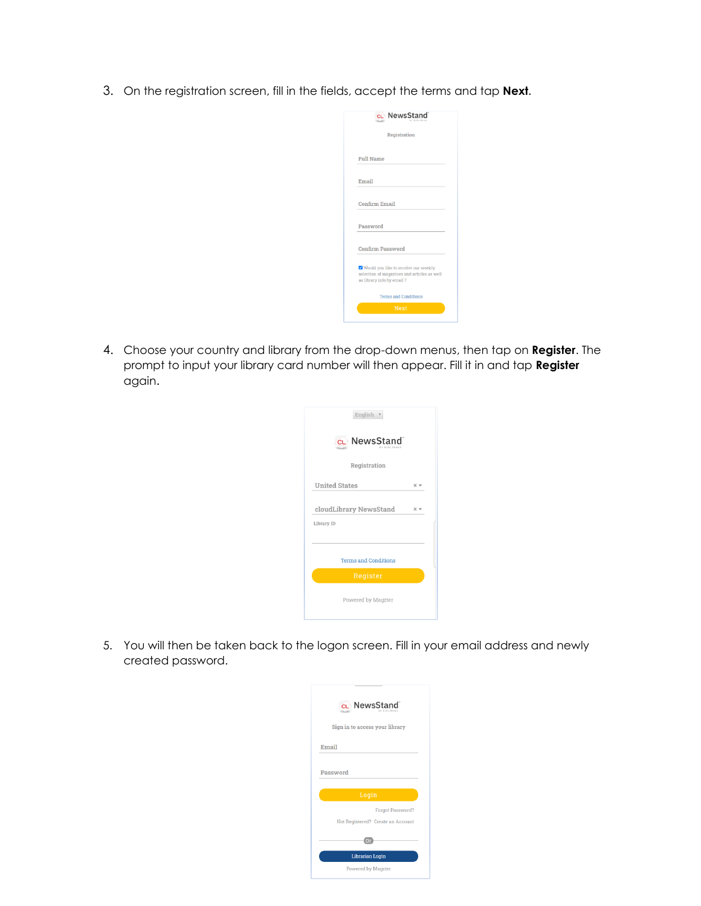3. On the registration screen, fill in the fields, accept the terms and tap **Next**.

| CL NewsStand                                                                                                        |  |
|---------------------------------------------------------------------------------------------------------------------|--|
| Registration                                                                                                        |  |
| <b>Full Name</b>                                                                                                    |  |
| Email                                                                                                               |  |
| Confirm Email                                                                                                       |  |
| Password                                                                                                            |  |
| <b>Confirm Password</b>                                                                                             |  |
| ✔ Would you like to receive our weekly<br>selection of magazines and articles as well<br>as library info by email ? |  |
| <b>Terms and Conditions</b>                                                                                         |  |
| <b>Next</b>                                                                                                         |  |

4. Choose your country and library from the drop-down menus, then tap on **Register**. The prompt to input your library card number will then appear. Fill it in and tap **Register** again.

| English                              |                   |
|--------------------------------------|-------------------|
| cL NewsStand<br>BY BIBITMAGE         |                   |
| Registration                         |                   |
| <b>United States</b>                 | $\times$ $\times$ |
| cloudLibrary NewsStand<br>Library ID | $\times$ $\times$ |
| <b>Terms and Conditions</b>          |                   |
| Register                             |                   |
| Powered by Magzter                   |                   |

5. You will then be taken back to the logon screen. Fill in your email address and newly created password.

|       | CL NewsStand                      |
|-------|-----------------------------------|
|       | Sign in to access your library    |
| Email |                                   |
|       |                                   |
|       | Password                          |
|       | Login                             |
|       | Forgot Password?                  |
|       | Not Registered? Create an Account |
|       | n                                 |
|       | Librarian Login                   |